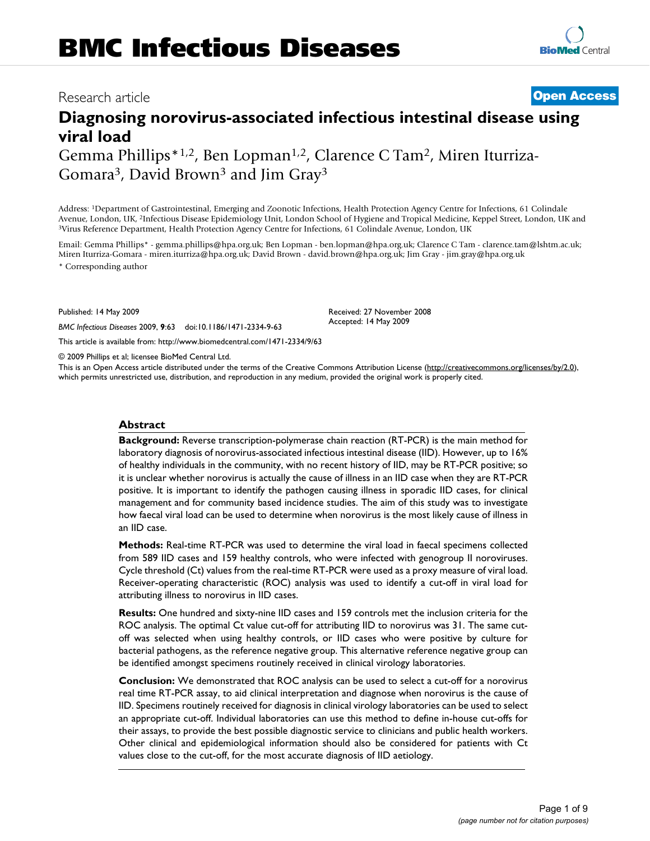## Research article **[Open Access](http://www.biomedcentral.com/info/about/charter/)**

# **Diagnosing norovirus-associated infectious intestinal disease using viral load**

Gemma Phillips\*1,2, Ben Lopman1,2, Clarence C Tam2, Miren Iturriza-Gomara3, David Brown3 and Jim Gray3

Address: 1Department of Gastrointestinal, Emerging and Zoonotic Infections, Health Protection Agency Centre for Infections, 61 Colindale Avenue, London, UK, <sup>2</sup>Infectious Disease Epidemiology Unit, London School of Hygiene and Tropical Medicine, Keppel Street, London, UK and <sup>3</sup>Virus Reference Department, Health Protection Agency Centre for Infections, 61 C

Email: Gemma Phillips\* - gemma.phillips@hpa.org.uk; Ben Lopman - ben.lopman@hpa.org.uk; Clarence C Tam - clarence.tam@lshtm.ac.uk; Miren Iturriza-Gomara - miren.iturriza@hpa.org.uk; David Brown - david.brown@hpa.org.uk; Jim Gray - jim.gray@hpa.org.uk \* Corresponding author

> Received: 27 November 2008 Accepted: 14 May 2009

Published: 14 May 2009

*BMC Infectious Diseases* 2009, **9**:63 doi:10.1186/1471-2334-9-63

[This article is available from: http://www.biomedcentral.com/1471-2334/9/63](http://www.biomedcentral.com/1471-2334/9/63)

© 2009 Phillips et al; licensee BioMed Central Ltd.

This is an Open Access article distributed under the terms of the Creative Commons Attribution License [\(http://creativecommons.org/licenses/by/2.0\)](http://creativecommons.org/licenses/by/2.0), which permits unrestricted use, distribution, and reproduction in any medium, provided the original work is properly cited.

#### **Abstract**

**Background:** Reverse transcription-polymerase chain reaction (RT-PCR) is the main method for laboratory diagnosis of norovirus-associated infectious intestinal disease (IID). However, up to 16% of healthy individuals in the community, with no recent history of IID, may be RT-PCR positive; so it is unclear whether norovirus is actually the cause of illness in an IID case when they are RT-PCR positive. It is important to identify the pathogen causing illness in sporadic IID cases, for clinical management and for community based incidence studies. The aim of this study was to investigate how faecal viral load can be used to determine when norovirus is the most likely cause of illness in an IID case.

**Methods:** Real-time RT-PCR was used to determine the viral load in faecal specimens collected from 589 IID cases and 159 healthy controls, who were infected with genogroup II noroviruses. Cycle threshold (Ct) values from the real-time RT-PCR were used as a proxy measure of viral load. Receiver-operating characteristic (ROC) analysis was used to identify a cut-off in viral load for attributing illness to norovirus in IID cases.

**Results:** One hundred and sixty-nine IID cases and 159 controls met the inclusion criteria for the ROC analysis. The optimal Ct value cut-off for attributing IID to norovirus was 31. The same cutoff was selected when using healthy controls, or IID cases who were positive by culture for bacterial pathogens, as the reference negative group. This alternative reference negative group can be identified amongst specimens routinely received in clinical virology laboratories.

**Conclusion:** We demonstrated that ROC analysis can be used to select a cut-off for a norovirus real time RT-PCR assay, to aid clinical interpretation and diagnose when norovirus is the cause of IID. Specimens routinely received for diagnosis in clinical virology laboratories can be used to select an appropriate cut-off. Individual laboratories can use this method to define in-house cut-offs for their assays, to provide the best possible diagnostic service to clinicians and public health workers. Other clinical and epidemiological information should also be considered for patients with Ct values close to the cut-off, for the most accurate diagnosis of IID aetiology.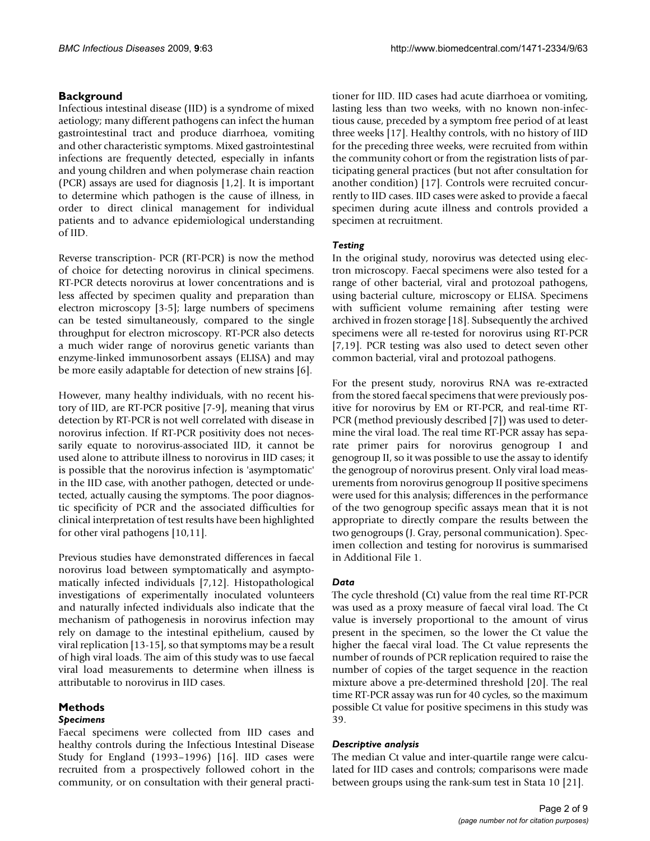## **Background**

Infectious intestinal disease (IID) is a syndrome of mixed aetiology; many different pathogens can infect the human gastrointestinal tract and produce diarrhoea, vomiting and other characteristic symptoms. Mixed gastrointestinal infections are frequently detected, especially in infants and young children and when polymerase chain reaction (PCR) assays are used for diagnosis [\[1](#page-7-0),[2](#page-7-1)]. It is important to determine which pathogen is the cause of illness, in order to direct clinical management for individual patients and to advance epidemiological understanding of IID.

Reverse transcription- PCR (RT-PCR) is now the method of choice for detecting norovirus in clinical specimens. RT-PCR detects norovirus at lower concentrations and is less affected by specimen quality and preparation than electron microscopy [\[3-](#page-7-2)[5](#page-7-3)]; large numbers of specimens can be tested simultaneously, compared to the single throughput for electron microscopy. RT-PCR also detects a much wider range of norovirus genetic variants than enzyme-linked immunosorbent assays (ELISA) and may be more easily adaptable for detection of new strains [\[6](#page-7-4)].

However, many healthy individuals, with no recent history of IID, are RT-PCR positive [\[7-](#page-7-5)[9](#page-7-6)], meaning that virus detection by RT-PCR is not well correlated with disease in norovirus infection. If RT-PCR positivity does not necessarily equate to norovirus-associated IID, it cannot be used alone to attribute illness to norovirus in IID cases; it is possible that the norovirus infection is 'asymptomatic' in the IID case, with another pathogen, detected or undetected, actually causing the symptoms. The poor diagnostic specificity of PCR and the associated difficulties for clinical interpretation of test results have been highlighted for other viral pathogens [\[10](#page-7-7)[,11](#page-7-8)].

Previous studies have demonstrated differences in faecal norovirus load between symptomatically and asymptomatically infected individuals [\[7,](#page-7-5)[12](#page-7-9)]. Histopathological investigations of experimentally inoculated volunteers and naturally infected individuals also indicate that the mechanism of pathogenesis in norovirus infection may rely on damage to the intestinal epithelium, caused by viral replication [\[13](#page-7-10)[-15](#page-7-11)], so that symptoms may be a result of high viral loads. The aim of this study was to use faecal viral load measurements to determine when illness is attributable to norovirus in IID cases.

## **Methods**

## *Specimens*

Faecal specimens were collected from IID cases and healthy controls during the Infectious Intestinal Disease Study for England (1993–1996) [\[16\]](#page-7-12). IID cases were recruited from a prospectively followed cohort in the community, or on consultation with their general practitioner for IID. IID cases had acute diarrhoea or vomiting, lasting less than two weeks, with no known non-infectious cause, preceded by a symptom free period of at least three weeks [[17\]](#page-7-13). Healthy controls, with no history of IID for the preceding three weeks, were recruited from within the community cohort or from the registration lists of participating general practices (but not after consultation for another condition) [\[17](#page-7-13)]. Controls were recruited concurrently to IID cases. IID cases were asked to provide a faecal specimen during acute illness and controls provided a specimen at recruitment.

## *Testing*

In the original study, norovirus was detected using electron microscopy. Faecal specimens were also tested for a range of other bacterial, viral and protozoal pathogens, using bacterial culture, microscopy or ELISA. Specimens with sufficient volume remaining after testing were archived in frozen storage [[18\]](#page-7-14). Subsequently the archived specimens were all re-tested for norovirus using RT-PCR [[7](#page-7-5)[,19](#page-7-15)]. PCR testing was also used to detect seven other common bacterial, viral and protozoal pathogens.

For the present study, norovirus RNA was re-extracted from the stored faecal specimens that were previously positive for norovirus by EM or RT-PCR, and real-time RT-PCR (method previously described [\[7\]](#page-7-5)) was used to determine the viral load. The real time RT-PCR assay has separate primer pairs for norovirus genogroup I and genogroup II, so it was possible to use the assay to identify the genogroup of norovirus present. Only viral load measurements from norovirus genogroup II positive specimens were used for this analysis; differences in the performance of the two genogroup specific assays mean that it is not appropriate to directly compare the results between the two genogroups (J. Gray, personal communication). Specimen collection and testing for norovirus is summarised in Additional File [1.](#page-7-16)

## *Data*

The cycle threshold (Ct) value from the real time RT-PCR was used as a proxy measure of faecal viral load. The Ct value is inversely proportional to the amount of virus present in the specimen, so the lower the Ct value the higher the faecal viral load. The Ct value represents the number of rounds of PCR replication required to raise the number of copies of the target sequence in the reaction mixture above a pre-determined threshold [[20\]](#page-7-17). The real time RT-PCR assay was run for 40 cycles, so the maximum possible Ct value for positive specimens in this study was 39.

## *Descriptive analysis*

The median Ct value and inter-quartile range were calculated for IID cases and controls; comparisons were made between groups using the rank-sum test in Stata 10 [\[21](#page-7-18)].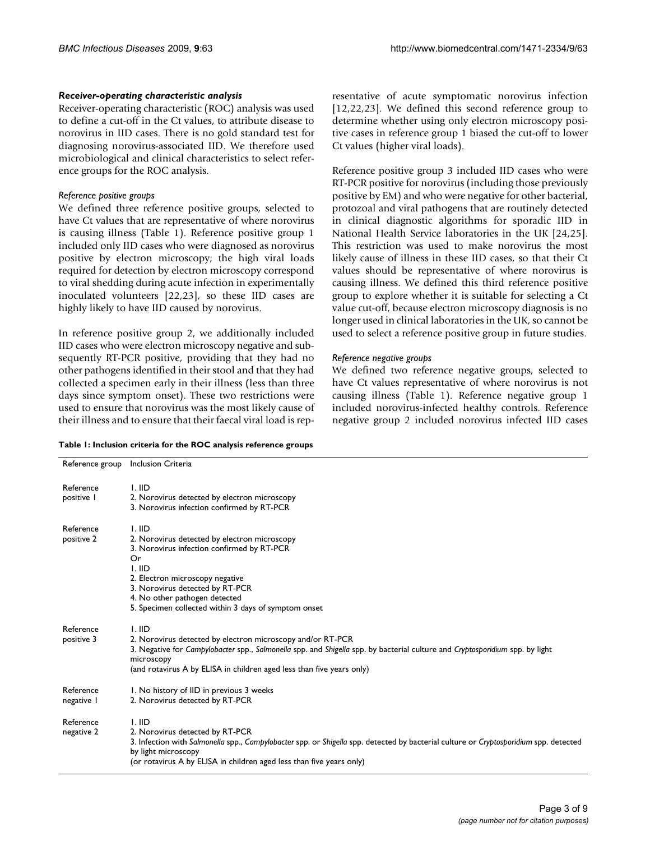#### *Receiver-operating characteristic analysis*

Receiver-operating characteristic (ROC) analysis was used to define a cut-off in the Ct values, to attribute disease to norovirus in IID cases. There is no gold standard test for diagnosing norovirus-associated IID. We therefore used microbiological and clinical characteristics to select reference groups for the ROC analysis.

#### *Reference positive groups*

We defined three reference positive groups, selected to have Ct values that are representative of where norovirus is causing illness (Table [1](#page-2-0)). Reference positive group 1 included only IID cases who were diagnosed as norovirus positive by electron microscopy; the high viral loads required for detection by electron microscopy correspond to viral shedding during acute infection in experimentally inoculated volunteers [[22](#page-7-19),[23\]](#page-7-20), so these IID cases are highly likely to have IID caused by norovirus.

In reference positive group 2, we additionally included IID cases who were electron microscopy negative and subsequently RT-PCR positive, providing that they had no other pathogens identified in their stool and that they had collected a specimen early in their illness (less than three days since symptom onset). These two restrictions were used to ensure that norovirus was the most likely cause of their illness and to ensure that their faecal viral load is rep-

#### <span id="page-2-0"></span>**Table 1: Inclusion criteria for the ROC analysis reference groups**

resentative of acute symptomatic norovirus infection [[12](#page-7-9),[22,](#page-7-19)[23](#page-7-20)]. We defined this second reference group to determine whether using only electron microscopy positive cases in reference group 1 biased the cut-off to lower Ct values (higher viral loads).

Reference positive group 3 included IID cases who were RT-PCR positive for norovirus (including those previously positive by EM) and who were negative for other bacterial, protozoal and viral pathogens that are routinely detected in clinical diagnostic algorithms for sporadic IID in National Health Service laboratories in the UK [[24,](#page-7-21)[25](#page-7-22)]. This restriction was used to make norovirus the most likely cause of illness in these IID cases, so that their Ct values should be representative of where norovirus is causing illness. We defined this third reference positive group to explore whether it is suitable for selecting a Ct value cut-off, because electron microscopy diagnosis is no longer used in clinical laboratories in the UK, so cannot be used to select a reference positive group in future studies.

#### *Reference negative groups*

We defined two reference negative groups, selected to have Ct values representative of where norovirus is not causing illness (Table [1](#page-2-0)). Reference negative group 1 included norovirus-infected healthy controls. Reference negative group 2 included norovirus infected IID cases

| Reference group         | <b>Inclusion Criteria</b>                                                                                                                                                                                                                                                                   |
|-------------------------|---------------------------------------------------------------------------------------------------------------------------------------------------------------------------------------------------------------------------------------------------------------------------------------------|
| Reference<br>positive I | I. IID<br>2. Norovirus detected by electron microscopy<br>3. Norovirus infection confirmed by RT-PCR                                                                                                                                                                                        |
| Reference<br>positive 2 | I. IID<br>2. Norovirus detected by electron microscopy<br>3. Norovirus infection confirmed by RT-PCR<br>Or<br>I. IID<br>2. Electron microscopy negative<br>3. Norovirus detected by RT-PCR<br>4. No other pathogen detected<br>5. Specimen collected within 3 days of symptom onset         |
| Reference<br>positive 3 | I. IID<br>2. Norovirus detected by electron microscopy and/or RT-PCR<br>3. Negative for Campylobacter spp., Salmonella spp. and Shigella spp. by bacterial culture and Cryptosporidium spp. by light<br>microscopy<br>(and rotavirus A by ELISA in children aged less than five years only) |
| Reference<br>negative 1 | 1. No history of IID in previous 3 weeks<br>2. Norovirus detected by RT-PCR                                                                                                                                                                                                                 |
| Reference<br>negative 2 | I. IID<br>2. Norovirus detected by RT-PCR<br>3. Infection with Salmonella spp., Campylobacter spp. or Shigella spp. detected by bacterial culture or Cryptosporidium spp. detected<br>by light microscopy<br>(or rotavirus A by ELISA in children aged less than five years only)           |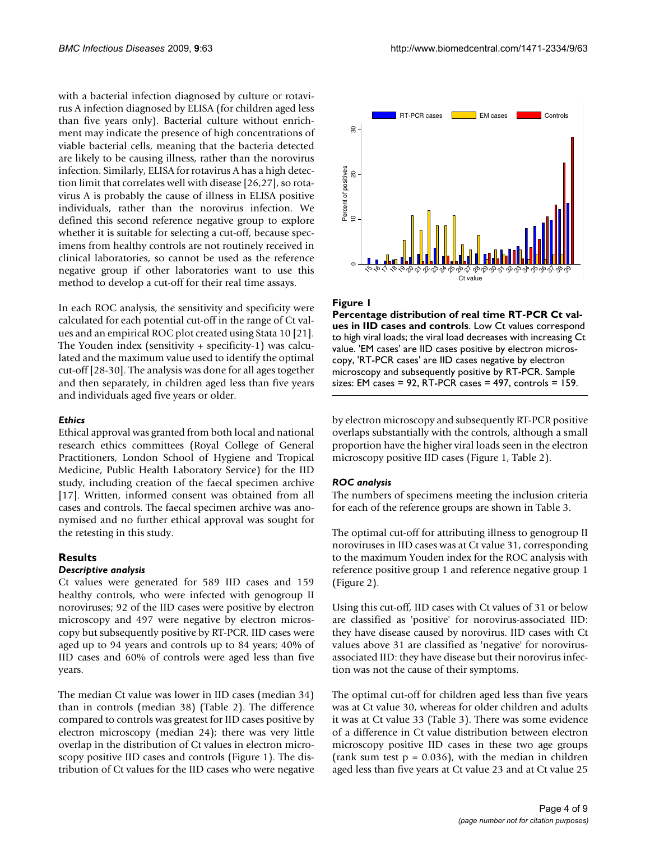with a bacterial infection diagnosed by culture or rotavirus A infection diagnosed by ELISA (for children aged less than five years only). Bacterial culture without enrichment may indicate the presence of high concentrations of viable bacterial cells, meaning that the bacteria detected are likely to be causing illness, rather than the norovirus infection. Similarly, ELISA for rotavirus A has a high detection limit that correlates well with disease [[26,](#page-7-23)[27\]](#page-8-0), so rotavirus A is probably the cause of illness in ELISA positive individuals, rather than the norovirus infection. We defined this second reference negative group to explore whether it is suitable for selecting a cut-off, because specimens from healthy controls are not routinely received in clinical laboratories, so cannot be used as the reference negative group if other laboratories want to use this method to develop a cut-off for their real time assays.

In each ROC analysis, the sensitivity and specificity were calculated for each potential cut-off in the range of Ct values and an empirical ROC plot created using Stata 10 [\[21](#page-7-18)]. The Youden index (sensitivity + specificity-1) was calculated and the maximum value used to identify the optimal cut-off [\[28](#page-8-1)[-30\]](#page-8-2). The analysis was done for all ages together and then separately, in children aged less than five years and individuals aged five years or older.

#### *Ethics*

Ethical approval was granted from both local and national research ethics committees (Royal College of General Practitioners, London School of Hygiene and Tropical Medicine, Public Health Laboratory Service) for the IID study, including creation of the faecal specimen archive [[17](#page-7-13)]. Written, informed consent was obtained from all cases and controls. The faecal specimen archive was anonymised and no further ethical approval was sought for the retesting in this study.

#### **Results**

#### *Descriptive analysis*

Ct values were generated for 589 IID cases and 159 healthy controls, who were infected with genogroup II noroviruses; 92 of the IID cases were positive by electron microscopy and 497 were negative by electron microscopy but subsequently positive by RT-PCR. IID cases were aged up to 94 years and controls up to 84 years; 40% of IID cases and 60% of controls were aged less than five years.

The median Ct value was lower in IID cases (median 34) than in controls (median 38) (Table [2\)](#page-4-0). The difference compared to controls was greatest for IID cases positive by electron microscopy (median 24); there was very little overlap in the distribution of Ct values in electron microscopy positive IID cases and controls (Figure [1\)](#page-3-0). The distribution of Ct values for the IID cases who were negative

<span id="page-3-0"></span>

#### **Figure I**

**Percentage distribution of real time RT-PCR Ct values in IID cases and controls**. Low Ct values correspond to high viral loads; the viral load decreases with increasing Ct value. 'EM cases' are IID cases positive by electron microscopy, 'RT-PCR cases' are IID cases negative by electron microscopy and subsequently positive by RT-PCR. Sample sizes: EM cases = 92, RT-PCR cases = 497, controls =  $159$ .

by electron microscopy and subsequently RT-PCR positive overlaps substantially with the controls, although a small proportion have the higher viral loads seen in the electron microscopy positive IID cases (Figure [1](#page-3-0), Table [2](#page-4-0)).

#### *ROC analysis*

The numbers of specimens meeting the inclusion criteria for each of the reference groups are shown in Table [3.](#page-4-1)

The optimal cut-off for attributing illness to genogroup II noroviruses in IID cases was at Ct value 31, corresponding to the maximum Youden index for the ROC analysis with reference positive group 1 and reference negative group 1 (Figure [2\)](#page-5-0).

Using this cut-off, IID cases with Ct values of 31 or below are classified as 'positive' for norovirus-associated IID: they have disease caused by norovirus. IID cases with Ct values above 31 are classified as 'negative' for norovirusassociated IID: they have disease but their norovirus infection was not the cause of their symptoms.

The optimal cut-off for children aged less than five years was at Ct value 30, whereas for older children and adults it was at Ct value 33 (Table [3\)](#page-4-1). There was some evidence of a difference in Ct value distribution between electron microscopy positive IID cases in these two age groups (rank sum test  $p = 0.036$ ), with the median in children aged less than five years at Ct value 23 and at Ct value 25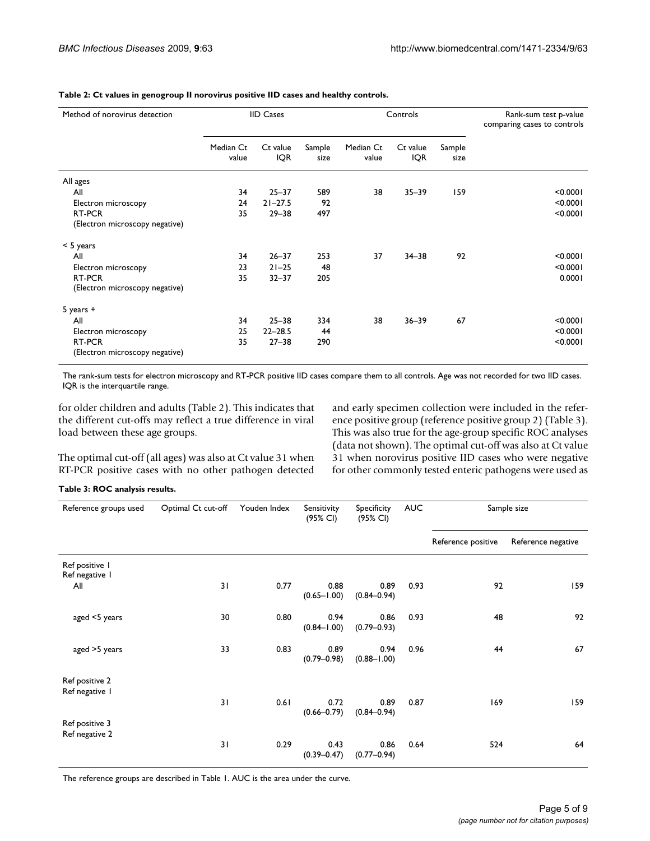| Method of norovirus detection  | <b>IID Cases</b>   |                        |                | Controls           |                        |                | Rank-sum test p-value<br>comparing cases to controls |
|--------------------------------|--------------------|------------------------|----------------|--------------------|------------------------|----------------|------------------------------------------------------|
|                                | Median Ct<br>value | Ct value<br><b>IQR</b> | Sample<br>size | Median Ct<br>value | Ct value<br><b>IQR</b> | Sample<br>size |                                                      |
| All ages                       |                    |                        |                |                    |                        |                |                                                      |
| All                            | 34                 | $25 - 37$              | 589            | 38                 | $35 - 39$              | 159            | < 0.0001                                             |
| Electron microscopy            | 24                 | $21 - 27.5$            | 92             |                    |                        |                | < 0.0001                                             |
| RT-PCR                         | 35                 | $29 - 38$              | 497            |                    |                        |                | < 0.0001                                             |
| (Electron microscopy negative) |                    |                        |                |                    |                        |                |                                                      |
| $< 5$ years                    |                    |                        |                |                    |                        |                |                                                      |
| All                            | 34                 | $26 - 37$              | 253            | 37                 | $34 - 38$              | 92             | < 0.0001                                             |
| Electron microscopy            | 23                 | $21 - 25$              | 48             |                    |                        |                | < 0.0001                                             |
| RT-PCR                         | 35                 | $32 - 37$              | 205            |                    |                        |                | 0.0001                                               |
| (Electron microscopy negative) |                    |                        |                |                    |                        |                |                                                      |
| $5$ years $+$                  |                    |                        |                |                    |                        |                |                                                      |
| All                            | 34                 | $25 - 38$              | 334            | 38                 | $36 - 39$              | 67             | < 0.0001                                             |
| Electron microscopy            | 25                 | $22 - 28.5$            | 44             |                    |                        |                | < 0.0001                                             |
| RT-PCR                         | 35                 | $27 - 38$              | 290            |                    |                        |                | < 0.0001                                             |
| (Electron microscopy negative) |                    |                        |                |                    |                        |                |                                                      |

#### <span id="page-4-0"></span>**Table 2: Ct values in genogroup II norovirus positive IID cases and healthy controls.**

The rank-sum tests for electron microscopy and RT-PCR positive IID cases compare them to all controls. Age was not recorded for two IID cases. IQR is the interquartile range.

for older children and adults (Table [2](#page-4-0)). This indicates that the different cut-offs may reflect a true difference in viral load between these age groups.

The optimal cut-off (all ages) was also at Ct value 31 when RT-PCR positive cases with no other pathogen detected and early specimen collection were included in the reference positive group (reference positive group 2) (Table [3\)](#page-4-1). This was also true for the age-group specific ROC analyses (data not shown). The optimal cut-off was also at Ct value 31 when norovirus positive IID cases who were negative for other commonly tested enteric pathogens were used as

#### <span id="page-4-1"></span>**Table 3: ROC analysis results.**

| Reference groups used            | Optimal Ct cut-off | Youden Index | Sensitivity<br>(95% CI) | Specificity<br>(95% CI) | <b>AUC</b> | Sample size        |                    |
|----------------------------------|--------------------|--------------|-------------------------|-------------------------|------------|--------------------|--------------------|
|                                  |                    |              |                         |                         |            | Reference positive | Reference negative |
| Ref positive 1<br>Ref negative I |                    |              |                         |                         |            |                    |                    |
| All                              | 31                 | 0.77         | 0.88<br>$(0.65 - 1.00)$ | 0.89<br>$(0.84 - 0.94)$ | 0.93       | 92                 | 159                |
| aged <5 years                    | 30                 | 0.80         | 0.94<br>$(0.84 - 1.00)$ | 0.86<br>$(0.79 - 0.93)$ | 0.93       | 48                 | 92                 |
| aged >5 years                    | 33                 | 0.83         | 0.89<br>$(0.79 - 0.98)$ | 0.94<br>$(0.88 - 1.00)$ | 0.96       | 44                 | 67                 |
| Ref positive 2<br>Ref negative 1 |                    |              |                         |                         |            |                    |                    |
|                                  | 31                 | 0.61         | 0.72<br>$(0.66 - 0.79)$ | 0.89<br>$(0.84 - 0.94)$ | 0.87       | 169                | 159                |
| Ref positive 3<br>Ref negative 2 |                    |              |                         |                         |            |                    |                    |
|                                  | 31                 | 0.29         | 0.43<br>$(0.39 - 0.47)$ | 0.86<br>$(0.77 - 0.94)$ | 0.64       | 524                | 64                 |

The reference groups are described in Table 1. AUC is the area under the curve.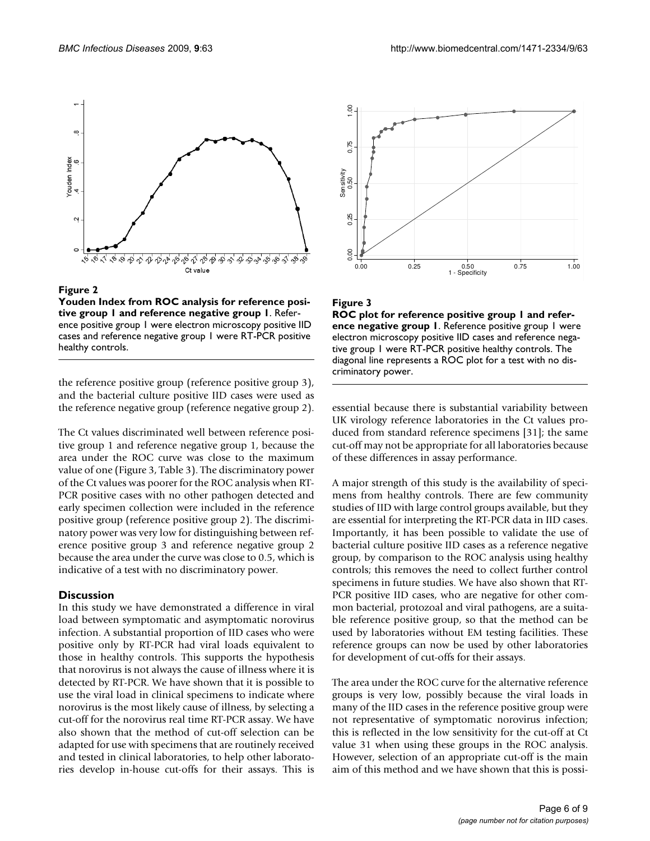<span id="page-5-0"></span>

Figure 2

**Youden Index from ROC analysis for reference positive group 1 and reference negative group 1**. Reference positive group 1 were electron microscopy positive IID cases and reference negative group 1 were RT-PCR positive healthy controls.

the reference positive group (reference positive group 3), and the bacterial culture positive IID cases were used as the reference negative group (reference negative group 2).

The Ct values discriminated well between reference positive group 1 and reference negative group 1, because the area under the ROC curve was close to the maximum value of one (Figure [3](#page-5-1), Table [3](#page-4-1)). The discriminatory power of the Ct values was poorer for the ROC analysis when RT-PCR positive cases with no other pathogen detected and early specimen collection were included in the reference positive group (reference positive group 2). The discriminatory power was very low for distinguishing between reference positive group 3 and reference negative group 2 because the area under the curve was close to 0.5, which is indicative of a test with no discriminatory power.

## **Discussion**

In this study we have demonstrated a difference in viral load between symptomatic and asymptomatic norovirus infection. A substantial proportion of IID cases who were positive only by RT-PCR had viral loads equivalent to those in healthy controls. This supports the hypothesis that norovirus is not always the cause of illness where it is detected by RT-PCR. We have shown that it is possible to use the viral load in clinical specimens to indicate where norovirus is the most likely cause of illness, by selecting a cut-off for the norovirus real time RT-PCR assay. We have also shown that the method of cut-off selection can be adapted for use with specimens that are routinely received and tested in clinical laboratories, to help other laboratories develop in-house cut-offs for their assays. This is

<span id="page-5-1"></span>



essential because there is substantial variability between UK virology reference laboratories in the Ct values produced from standard reference specimens [\[31\]](#page-8-3); the same cut-off may not be appropriate for all laboratories because of these differences in assay performance.

A major strength of this study is the availability of specimens from healthy controls. There are few community studies of IID with large control groups available, but they are essential for interpreting the RT-PCR data in IID cases. Importantly, it has been possible to validate the use of bacterial culture positive IID cases as a reference negative group, by comparison to the ROC analysis using healthy controls; this removes the need to collect further control specimens in future studies. We have also shown that RT-PCR positive IID cases, who are negative for other common bacterial, protozoal and viral pathogens, are a suitable reference positive group, so that the method can be used by laboratories without EM testing facilities. These reference groups can now be used by other laboratories for development of cut-offs for their assays.

The area under the ROC curve for the alternative reference groups is very low, possibly because the viral loads in many of the IID cases in the reference positive group were not representative of symptomatic norovirus infection; this is reflected in the low sensitivity for the cut-off at Ct value 31 when using these groups in the ROC analysis. However, selection of an appropriate cut-off is the main aim of this method and we have shown that this is possi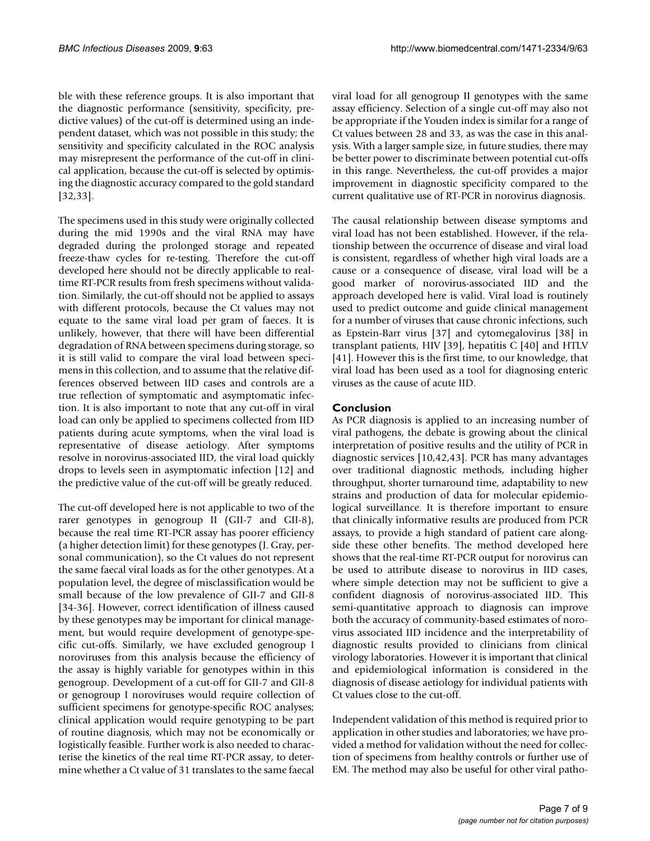ble with these reference groups. It is also important that the diagnostic performance (sensitivity, specificity, predictive values) of the cut-off is determined using an independent dataset, which was not possible in this study; the sensitivity and specificity calculated in the ROC analysis may misrepresent the performance of the cut-off in clinical application, because the cut-off is selected by optimising the diagnostic accuracy compared to the gold standard [[32](#page-8-4),[33\]](#page-8-5).

The specimens used in this study were originally collected during the mid 1990s and the viral RNA may have degraded during the prolonged storage and repeated freeze-thaw cycles for re-testing. Therefore the cut-off developed here should not be directly applicable to realtime RT-PCR results from fresh specimens without validation. Similarly, the cut-off should not be applied to assays with different protocols, because the Ct values may not equate to the same viral load per gram of faeces. It is unlikely, however, that there will have been differential degradation of RNA between specimens during storage, so it is still valid to compare the viral load between specimens in this collection, and to assume that the relative differences observed between IID cases and controls are a true reflection of symptomatic and asymptomatic infection. It is also important to note that any cut-off in viral load can only be applied to specimens collected from IID patients during acute symptoms, when the viral load is representative of disease aetiology. After symptoms resolve in norovirus-associated IID, the viral load quickly drops to levels seen in asymptomatic infection [\[12](#page-7-9)] and the predictive value of the cut-off will be greatly reduced.

The cut-off developed here is not applicable to two of the rarer genotypes in genogroup II (GII-7 and GII-8), because the real time RT-PCR assay has poorer efficiency (a higher detection limit) for these genotypes (J. Gray, personal communication), so the Ct values do not represent the same faecal viral loads as for the other genotypes. At a population level, the degree of misclassification would be small because of the low prevalence of GII-7 and GII-8 [[34](#page-8-6)[-36](#page-8-7)]. However, correct identification of illness caused by these genotypes may be important for clinical management, but would require development of genotype-specific cut-offs. Similarly, we have excluded genogroup I noroviruses from this analysis because the efficiency of the assay is highly variable for genotypes within in this genogroup. Development of a cut-off for GII-7 and GII-8 or genogroup I noroviruses would require collection of sufficient specimens for genotype-specific ROC analyses; clinical application would require genotyping to be part of routine diagnosis, which may not be economically or logistically feasible. Further work is also needed to characterise the kinetics of the real time RT-PCR assay, to determine whether a Ct value of 31 translates to the same faecal

viral load for all genogroup II genotypes with the same assay efficiency. Selection of a single cut-off may also not be appropriate if the Youden index is similar for a range of Ct values between 28 and 33, as was the case in this analysis. With a larger sample size, in future studies, there may be better power to discriminate between potential cut-offs in this range. Nevertheless, the cut-off provides a major improvement in diagnostic specificity compared to the current qualitative use of RT-PCR in norovirus diagnosis.

The causal relationship between disease symptoms and viral load has not been established. However, if the relationship between the occurrence of disease and viral load is consistent, regardless of whether high viral loads are a cause or a consequence of disease, viral load will be a good marker of norovirus-associated IID and the approach developed here is valid. Viral load is routinely used to predict outcome and guide clinical management for a number of viruses that cause chronic infections, such as Epstein-Barr virus [\[37](#page-8-8)] and cytomegalovirus [[38](#page-8-9)] in transplant patients, HIV [\[39](#page-8-10)], hepatitis C [[40](#page-8-11)] and HTLV [[41](#page-8-12)]. However this is the first time, to our knowledge, that viral load has been used as a tool for diagnosing enteric viruses as the cause of acute IID.

## **Conclusion**

As PCR diagnosis is applied to an increasing number of viral pathogens, the debate is growing about the clinical interpretation of positive results and the utility of PCR in diagnostic services [[10](#page-7-7)[,42](#page-8-13),[43](#page-8-14)]. PCR has many advantages over traditional diagnostic methods, including higher throughput, shorter turnaround time, adaptability to new strains and production of data for molecular epidemiological surveillance. It is therefore important to ensure that clinically informative results are produced from PCR assays, to provide a high standard of patient care alongside these other benefits. The method developed here shows that the real-time RT-PCR output for norovirus can be used to attribute disease to norovirus in IID cases, where simple detection may not be sufficient to give a confident diagnosis of norovirus-associated IID. This semi-quantitative approach to diagnosis can improve both the accuracy of community-based estimates of norovirus associated IID incidence and the interpretability of diagnostic results provided to clinicians from clinical virology laboratories. However it is important that clinical and epidemiological information is considered in the diagnosis of disease aetiology for individual patients with Ct values close to the cut-off.

Independent validation of this method is required prior to application in other studies and laboratories; we have provided a method for validation without the need for collection of specimens from healthy controls or further use of EM. The method may also be useful for other viral patho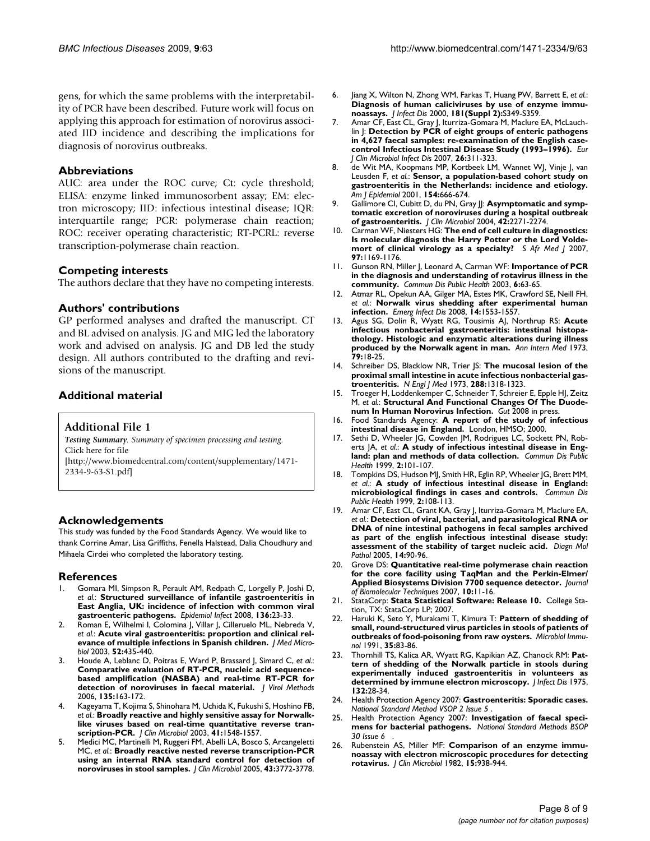gens, for which the same problems with the interpretability of PCR have been described. Future work will focus on applying this approach for estimation of norovirus associated IID incidence and describing the implications for diagnosis of norovirus outbreaks.

#### **Abbreviations**

AUC: area under the ROC curve; Ct: cycle threshold; ELISA: enzyme linked immunosorbent assay; EM: electron microscopy; IID: infectious intestinal disease; IQR: interquartile range; PCR: polymerase chain reaction; ROC: receiver operating characteristic; RT-PCRL: reverse transcription-polymerase chain reaction.

#### **Competing interests**

The authors declare that they have no competing interests.

#### **Authors' contributions**

GP performed analyses and drafted the manuscript. CT and BL advised on analysis. JG and MIG led the laboratory work and advised on analysis. JG and DB led the study design. All authors contributed to the drafting and revisions of the manuscript.

## **Additional material**

#### <span id="page-7-16"></span>**Additional File 1**

*Testing Summary. Summary of specimen processing and testing.* Click here for file [\[http://www.biomedcentral.com/content/supplementary/1471-](http://www.biomedcentral.com/content/supplementary/1471-2334-9-63-S1.pdf) 2334-9-63-S1.pdf]

## **Acknowledgements**

This study was funded by the Food Standards Agency. We would like to thank Corrine Amar, Lisa Griffiths, Fenella Halstead, Dalia Choudhury and Mihaela Cirdei who completed the laboratory testing.

#### **References**

- <span id="page-7-0"></span>1. Gomara MI, Simpson R, Perault AM, Redpath C, Lorgelly P, Joshi D, *et al.*: **[Structured surveillance of infantile gastroenteritis in](http://www.ncbi.nlm.nih.gov/entrez/query.fcgi?cmd=Retrieve&db=PubMed&dopt=Abstract&list_uids=17313697) [East Anglia, UK: incidence of infection with common viral](http://www.ncbi.nlm.nih.gov/entrez/query.fcgi?cmd=Retrieve&db=PubMed&dopt=Abstract&list_uids=17313697) [gastroenteric pathogens.](http://www.ncbi.nlm.nih.gov/entrez/query.fcgi?cmd=Retrieve&db=PubMed&dopt=Abstract&list_uids=17313697)** *Epidemiol Infect* 2008, **136:**23-33.
- <span id="page-7-1"></span>Roman E, Wilhelmi I, Colomina J, Villar J, Cilleruelo ML, Nebreda V, *et al.*: **[Acute viral gastroenteritis: proportion and clinical rel](http://www.ncbi.nlm.nih.gov/entrez/query.fcgi?cmd=Retrieve&db=PubMed&dopt=Abstract&list_uids=12721321)[evance of multiple infections in Spanish children.](http://www.ncbi.nlm.nih.gov/entrez/query.fcgi?cmd=Retrieve&db=PubMed&dopt=Abstract&list_uids=12721321)** *J Med Microbiol* 2003, **52:**435-440.
- <span id="page-7-2"></span>3. Houde A, Leblanc D, Poitras E, Ward P, Brassard J, Simard C, *et al.*: **[Comparative evaluation of RT-PCR, nucleic acid sequence](http://www.ncbi.nlm.nih.gov/entrez/query.fcgi?cmd=Retrieve&db=PubMed&dopt=Abstract&list_uids=16616378)based amplification (NASBA) and real-time RT-PCR for [detection of noroviruses in faecal material.](http://www.ncbi.nlm.nih.gov/entrez/query.fcgi?cmd=Retrieve&db=PubMed&dopt=Abstract&list_uids=16616378)** *J Virol Methods* 2006, **135:**163-172.
- 4. Kageyama T, Kojima S, Shinohara M, Uchida K, Fukushi S, Hoshino FB, *et al.*: **[Broadly reactive and highly sensitive assay for Norwalk](http://www.ncbi.nlm.nih.gov/entrez/query.fcgi?cmd=Retrieve&db=PubMed&dopt=Abstract&list_uids=12682144)[like viruses based on real-time quantitative reverse tran](http://www.ncbi.nlm.nih.gov/entrez/query.fcgi?cmd=Retrieve&db=PubMed&dopt=Abstract&list_uids=12682144)[scription-PCR.](http://www.ncbi.nlm.nih.gov/entrez/query.fcgi?cmd=Retrieve&db=PubMed&dopt=Abstract&list_uids=12682144)** *J Clin Microbiol* 2003, **41:**1548-1557.
- <span id="page-7-3"></span>5. Medici MC, Martinelli M, Ruggeri FM, Abelli LA, Bosco S, Arcangeletti MC, *et al.*: **[Broadly reactive nested reverse transcription-PCR](http://www.ncbi.nlm.nih.gov/entrez/query.fcgi?cmd=Retrieve&db=PubMed&dopt=Abstract&list_uids=16081909) [using an internal RNA standard control for detection of](http://www.ncbi.nlm.nih.gov/entrez/query.fcgi?cmd=Retrieve&db=PubMed&dopt=Abstract&list_uids=16081909) [noroviruses in stool samples.](http://www.ncbi.nlm.nih.gov/entrez/query.fcgi?cmd=Retrieve&db=PubMed&dopt=Abstract&list_uids=16081909)** *J Clin Microbiol* 2005, **43:**3772-3778.
- <span id="page-7-4"></span>6. Jiang X, Wilton N, Zhong WM, Farkas T, Huang PW, Barrett E, *et al.*: **[Diagnosis of human caliciviruses by use of enzyme immu](http://www.ncbi.nlm.nih.gov/entrez/query.fcgi?cmd=Retrieve&db=PubMed&dopt=Abstract&list_uids=10804148)[noassays.](http://www.ncbi.nlm.nih.gov/entrez/query.fcgi?cmd=Retrieve&db=PubMed&dopt=Abstract&list_uids=10804148)** *J Infect Dis* 2000, **181(Suppl 2):**S349-S359.
- <span id="page-7-5"></span>7. Amar CF, East CL, Gray J, Iturriza-Gomara M, Maclure EA, McLauchlin J: **[Detection by PCR of eight groups of enteric pathogens](http://www.ncbi.nlm.nih.gov/entrez/query.fcgi?cmd=Retrieve&db=PubMed&dopt=Abstract&list_uids=17447091) [in 4,627 faecal samples: re-examination of the English case](http://www.ncbi.nlm.nih.gov/entrez/query.fcgi?cmd=Retrieve&db=PubMed&dopt=Abstract&list_uids=17447091)[control Infectious Intestinal Disease Study \(1993–1996\).](http://www.ncbi.nlm.nih.gov/entrez/query.fcgi?cmd=Retrieve&db=PubMed&dopt=Abstract&list_uids=17447091)** *Eur J Clin Microbiol Infect Dis* 2007, **26:**311-323.
- 8. de Wit MA, Koopmans MP, Kortbeek LM, Wannet WJ, Vinje J, van Leusden F, *et al.*: **[Sensor, a population-based cohort study on](http://www.ncbi.nlm.nih.gov/entrez/query.fcgi?cmd=Retrieve&db=PubMed&dopt=Abstract&list_uids=11581101) [gastroenteritis in the Netherlands: incidence and etiology.](http://www.ncbi.nlm.nih.gov/entrez/query.fcgi?cmd=Retrieve&db=PubMed&dopt=Abstract&list_uids=11581101)** *Am J Epidemiol* 2001, **154:**666-674.
- <span id="page-7-6"></span>9. Gallimore CI, Cubitt D, du PN, Gray JJ: **[Asymptomatic and symp](http://www.ncbi.nlm.nih.gov/entrez/query.fcgi?cmd=Retrieve&db=PubMed&dopt=Abstract&list_uids=15131210)[tomatic excretion of noroviruses during a hospital outbreak](http://www.ncbi.nlm.nih.gov/entrez/query.fcgi?cmd=Retrieve&db=PubMed&dopt=Abstract&list_uids=15131210) [of gastroenteritis.](http://www.ncbi.nlm.nih.gov/entrez/query.fcgi?cmd=Retrieve&db=PubMed&dopt=Abstract&list_uids=15131210)** *J Clin Microbiol* 2004, **42:**2271-2274.
- <span id="page-7-7"></span>10. Carman WF, Niesters HG: **The end of cell culture in diagnostics: Is molecular diagnosis the Harry Potter or the Lord Voldemort of clinical virology as a specialty?** *S Afr Med J* 2007, **97:**1169-1176.
- <span id="page-7-8"></span>11. Gunson RN, Miller J, Leonard A, Carman WF: **[Importance of PCR](http://www.ncbi.nlm.nih.gov/entrez/query.fcgi?cmd=Retrieve&db=PubMed&dopt=Abstract&list_uids=12736976) [in the diagnosis and understanding of rotavirus illness in the](http://www.ncbi.nlm.nih.gov/entrez/query.fcgi?cmd=Retrieve&db=PubMed&dopt=Abstract&list_uids=12736976) [community.](http://www.ncbi.nlm.nih.gov/entrez/query.fcgi?cmd=Retrieve&db=PubMed&dopt=Abstract&list_uids=12736976)** *Commun Dis Public Health* 2003, **6:**63-65.
- <span id="page-7-9"></span>12. Atmar RL, Opekun AA, Gilger MA, Estes MK, Crawford SE, Neill FH, *et al.*: **[Norwalk virus shedding after experimental human](http://www.ncbi.nlm.nih.gov/entrez/query.fcgi?cmd=Retrieve&db=PubMed&dopt=Abstract&list_uids=18826818) [infection.](http://www.ncbi.nlm.nih.gov/entrez/query.fcgi?cmd=Retrieve&db=PubMed&dopt=Abstract&list_uids=18826818)** *Emerg Infect Dis* 2008, **14:**1553-1557.
- <span id="page-7-10"></span>13. Agus SG, Dolin R, Wyatt RG, Tousimis AJ, Northrup RS: **[Acute](http://www.ncbi.nlm.nih.gov/entrez/query.fcgi?cmd=Retrieve&db=PubMed&dopt=Abstract&list_uids=4721173) [infectious nonbacterial gastroenteritis: intestinal histopa](http://www.ncbi.nlm.nih.gov/entrez/query.fcgi?cmd=Retrieve&db=PubMed&dopt=Abstract&list_uids=4721173)thology. Histologic and enzymatic alterations during illness [produced by the Norwalk agent in man.](http://www.ncbi.nlm.nih.gov/entrez/query.fcgi?cmd=Retrieve&db=PubMed&dopt=Abstract&list_uids=4721173)** *Ann Intern Med* 1973, **79:**18-25.
- 14. Schreiber DS, Blacklow NR, Trier JS: **[The mucosal lesion of the](http://www.ncbi.nlm.nih.gov/entrez/query.fcgi?cmd=Retrieve&db=PubMed&dopt=Abstract&list_uids=4706274) [proximal small intestine in acute infectious nonbacterial gas](http://www.ncbi.nlm.nih.gov/entrez/query.fcgi?cmd=Retrieve&db=PubMed&dopt=Abstract&list_uids=4706274)[troenteritis.](http://www.ncbi.nlm.nih.gov/entrez/query.fcgi?cmd=Retrieve&db=PubMed&dopt=Abstract&list_uids=4706274)** *N Engl J Med* 1973, **288:**1318-1323.
- <span id="page-7-11"></span>15. Troeger H, Loddenkemper C, Schneider T, Schreier E, Epple HJ, Zeitz M, *et al.*: **Structural And Functional Changes Of The Duodenum In Human Norovirus Infection.** *Gut* 2008 in press.
- <span id="page-7-12"></span>16. Food Standards Agency: **A report of the study of infectious intestinal disease in England.** London, HMSO; 2000.
- <span id="page-7-13"></span>17. Sethi D, Wheeler JG, Cowden JM, Rodrigues LC, Sockett PN, Roberts JA, *et al.*: **[A study of infectious intestinal disease in Eng](http://www.ncbi.nlm.nih.gov/entrez/query.fcgi?cmd=Retrieve&db=PubMed&dopt=Abstract&list_uids=10402743)[land: plan and methods of data collection.](http://www.ncbi.nlm.nih.gov/entrez/query.fcgi?cmd=Retrieve&db=PubMed&dopt=Abstract&list_uids=10402743)** *Commun Dis Public Health* 1999, **2:**101-107.
- <span id="page-7-14"></span>18. Tompkins DS, Hudson MJ, Smith HR, Eglin RP, Wheeler JG, Brett MM, *et al.*: **[A study of infectious intestinal disease in England:](http://www.ncbi.nlm.nih.gov/entrez/query.fcgi?cmd=Retrieve&db=PubMed&dopt=Abstract&list_uids=10402744) [microbiological findings in cases and controls.](http://www.ncbi.nlm.nih.gov/entrez/query.fcgi?cmd=Retrieve&db=PubMed&dopt=Abstract&list_uids=10402744)** *Commun Dis Public Health* 1999, **2:**108-113.
- <span id="page-7-15"></span>19. Amar CF, East CL, Grant KA, Gray J, Iturriza-Gomara M, Maclure EA, *et al.*: **[Detection of viral, bacterial, and parasitological RNA or](http://www.ncbi.nlm.nih.gov/entrez/query.fcgi?cmd=Retrieve&db=PubMed&dopt=Abstract&list_uids=15905692) [DNA of nine intestinal pathogens in fecal samples archived](http://www.ncbi.nlm.nih.gov/entrez/query.fcgi?cmd=Retrieve&db=PubMed&dopt=Abstract&list_uids=15905692) as part of the english infectious intestinal disease study: [assessment of the stability of target nucleic acid.](http://www.ncbi.nlm.nih.gov/entrez/query.fcgi?cmd=Retrieve&db=PubMed&dopt=Abstract&list_uids=15905692)** *Diagn Mol Pathol* 2005, **14:**90-96.
- <span id="page-7-17"></span>20. Grove DS: **Quantitative real-time polymerase chain reaction for the core facility using TaqMan and the Perkin-Elmer/ Applied Biosystems Division 7700 sequence detector.** *Journal of Biomolecular Techniques* 2007, **10:**11-16.
- <span id="page-7-18"></span>21. StataCorp: **Stata Statistical Software: Release 10.** College Station, TX: StataCorp LP; 2007.
- <span id="page-7-19"></span>22. Haruki K, Seto Y, Murakami T, Kimura T: **[Pattern of shedding of](http://www.ncbi.nlm.nih.gov/entrez/query.fcgi?cmd=Retrieve&db=PubMed&dopt=Abstract&list_uids=1870434) [small, round-structured virus particles in stools of patients of](http://www.ncbi.nlm.nih.gov/entrez/query.fcgi?cmd=Retrieve&db=PubMed&dopt=Abstract&list_uids=1870434) [outbreaks of food-poisoning from raw oysters.](http://www.ncbi.nlm.nih.gov/entrez/query.fcgi?cmd=Retrieve&db=PubMed&dopt=Abstract&list_uids=1870434)** *Microbiol Immunol* 1991, **35:**83-86.
- <span id="page-7-20"></span>23. Thornhill TS, Kalica AR, Wyatt RG, Kapikian AZ, Chanock RM: **[Pat](http://www.ncbi.nlm.nih.gov/entrez/query.fcgi?cmd=Retrieve&db=PubMed&dopt=Abstract&list_uids=1151121)[tern of shedding of the Norwalk particle in stools during](http://www.ncbi.nlm.nih.gov/entrez/query.fcgi?cmd=Retrieve&db=PubMed&dopt=Abstract&list_uids=1151121) experimentally induced gastroenteritis in volunteers as [determined by immune electron microscopy.](http://www.ncbi.nlm.nih.gov/entrez/query.fcgi?cmd=Retrieve&db=PubMed&dopt=Abstract&list_uids=1151121)** *J Infect Dis* 1975, **132:**28-34.
- <span id="page-7-21"></span>24. Health Protection Agency 2007: **Gastroenteritis: Sporadic cases.** *National Standard Method VSOP 2 Issue 5* .
- <span id="page-7-22"></span>25. Health Protection Agency 2007: **Investigation of faecal specimens for bacterial pathogens.** *National Standard Methods BSOP 30 Issue 6* .
- <span id="page-7-23"></span>26. Rubenstein AS, Miller MF: **[Comparison of an enzyme immu](http://www.ncbi.nlm.nih.gov/entrez/query.fcgi?cmd=Retrieve&db=PubMed&dopt=Abstract&list_uids=6284793)[noassay with electron microscopic procedures for detecting](http://www.ncbi.nlm.nih.gov/entrez/query.fcgi?cmd=Retrieve&db=PubMed&dopt=Abstract&list_uids=6284793) [rotavirus.](http://www.ncbi.nlm.nih.gov/entrez/query.fcgi?cmd=Retrieve&db=PubMed&dopt=Abstract&list_uids=6284793)** *J Clin Microbiol* 1982, **15:**938-944.